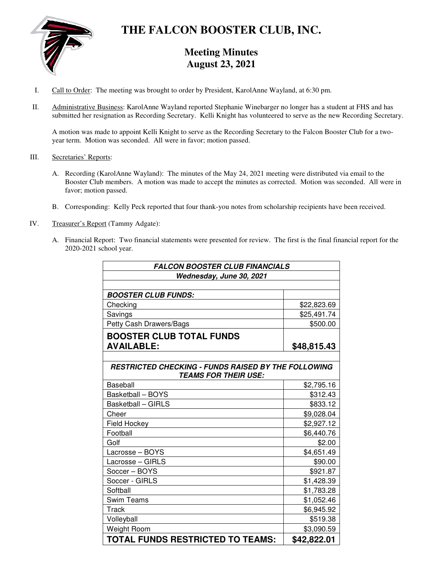

# **THE FALCON BOOSTER CLUB, INC.**

### **Meeting Minutes August 23, 2021**

- I. Call to Order: The meeting was brought to order by President, KarolAnne Wayland, at 6:30 pm.
- II. Administrative Business: KarolAnne Wayland reported Stephanie Winebarger no longer has a student at FHS and has submitted her resignation as Recording Secretary. Kelli Knight has volunteered to serve as the new Recording Secretary.

A motion was made to appoint Kelli Knight to serve as the Recording Secretary to the Falcon Booster Club for a twoyear term. Motion was seconded. All were in favor; motion passed.

- III. Secretaries' Reports:
	- A. Recording (KarolAnne Wayland): The minutes of the May 24, 2021 meeting were distributed via email to the Booster Club members. A motion was made to accept the minutes as corrected. Motion was seconded. All were in favor; motion passed.
	- B. Corresponding: Kelly Peck reported that four thank-you notes from scholarship recipients have been received.
- IV. Treasurer's Report (Tammy Adgate):
	- A. Financial Report: Two financial statements were presented for review. The first is the final financial report for the 2020-2021 school year.

| <b>FALCON BOOSTER CLUB FINANCIALS</b>                      |             |  |  |
|------------------------------------------------------------|-------------|--|--|
| Wednesday, June 30, 2021                                   |             |  |  |
|                                                            |             |  |  |
| <b>BOOSTER CLUB FUNDS:</b>                                 |             |  |  |
| Checking                                                   | \$22,823.69 |  |  |
| Savings                                                    | \$25,491.74 |  |  |
| Petty Cash Drawers/Bags                                    | \$500.00    |  |  |
| <b>BOOSTER CLUB TOTAL FUNDS</b>                            |             |  |  |
| <b>AVAILABLE:</b>                                          | \$48,815.43 |  |  |
|                                                            |             |  |  |
| <b>RESTRICTED CHECKING - FUNDS RAISED BY THE FOLLOWING</b> |             |  |  |
| <b>TEAMS FOR THEIR USE:</b>                                |             |  |  |
| Baseball                                                   | \$2,795.16  |  |  |
| <b>Basketball - BOYS</b>                                   | \$312.43    |  |  |
| <b>Basketball - GIRLS</b>                                  | \$833.12    |  |  |
| Cheer                                                      | \$9,028.04  |  |  |
| <b>Field Hockey</b>                                        | \$2,927.12  |  |  |
| Football                                                   | \$6,440.76  |  |  |
| Golf                                                       | \$2.00      |  |  |
| Lacrosse - BOYS                                            | \$4,651.49  |  |  |
| Lacrosse - GIRLS                                           | \$90.00     |  |  |
| Soccer - BOYS                                              | \$921.87    |  |  |
| Soccer - GIRLS                                             | \$1,428.39  |  |  |
| Softball                                                   | \$1,783.28  |  |  |
| <b>Swim Teams</b>                                          | \$1,052.46  |  |  |
| <b>Track</b>                                               | \$6,945.92  |  |  |
| Volleyball                                                 | \$519.38    |  |  |
| <b>Weight Room</b>                                         | \$3,090.59  |  |  |
| TOTAL FUNDS RESTRICTED TO TEAMS:                           | \$42,822.01 |  |  |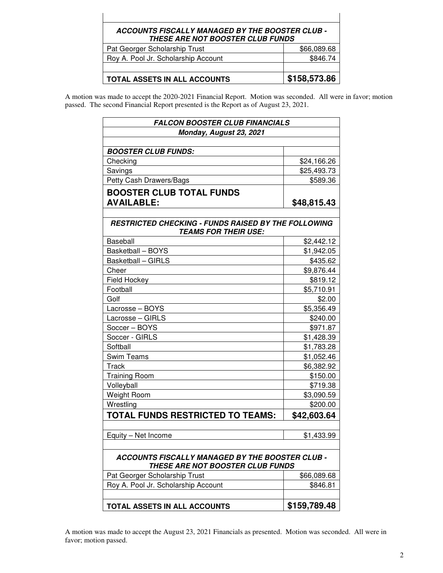## **ACCOUNTS FISCALLY MANAGED BY THE BOOSTER CLUB - THESE ARE NOT BOOSTER CLUB FUNDS**  Pat Georger Scholarship Trust **\$66,089.68**

| Roy A. Pool Jr. Scholarship Account | \$846.74             |  |  |
|-------------------------------------|----------------------|--|--|
|                                     |                      |  |  |
| <b>TOTAL ASSETS IN ALL ACCOUNTS</b> | $\vert$ \$158,573.86 |  |  |

A motion was made to accept the 2020-2021 Financial Report. Motion was seconded. All were in favor; motion passed. The second Financial Report presented is the Report as of August 23, 2021.

| <b>FALCON BOOSTER CLUB FINANCIALS</b>                                                      |              |  |  |  |
|--------------------------------------------------------------------------------------------|--------------|--|--|--|
| Monday, August 23, 2021                                                                    |              |  |  |  |
|                                                                                            |              |  |  |  |
| <b>BOOSTER CLUB FUNDS:</b>                                                                 |              |  |  |  |
| Checking                                                                                   | \$24,166.26  |  |  |  |
| Savings                                                                                    | \$25,493.73  |  |  |  |
| Petty Cash Drawers/Bags                                                                    | \$589.36     |  |  |  |
| <b>BOOSTER CLUB TOTAL FUNDS</b>                                                            |              |  |  |  |
| <b>AVAILABLE:</b>                                                                          | \$48,815.43  |  |  |  |
|                                                                                            |              |  |  |  |
| <b>RESTRICTED CHECKING - FUNDS RAISED BY THE FOLLOWING</b><br><b>TEAMS FOR THEIR USE:</b>  |              |  |  |  |
| <b>Baseball</b>                                                                            | \$2,442.12   |  |  |  |
| Basketball - BOYS                                                                          | \$1,942.05   |  |  |  |
| <b>Basketball - GIRLS</b>                                                                  | \$435.62     |  |  |  |
| Cheer                                                                                      | \$9,876.44   |  |  |  |
| Field Hockey                                                                               | \$819.12     |  |  |  |
| Football                                                                                   | \$5,710.91   |  |  |  |
| Golf                                                                                       | \$2.00       |  |  |  |
| Lacrosse - BOYS                                                                            | \$5,356.49   |  |  |  |
| Lacrosse - GIRLS                                                                           | \$240.00     |  |  |  |
| Soccer - BOYS                                                                              | \$971.87     |  |  |  |
| Soccer - GIRLS                                                                             | \$1,428.39   |  |  |  |
| Softball                                                                                   | \$1,783.28   |  |  |  |
| <b>Swim Teams</b>                                                                          | \$1,052.46   |  |  |  |
| Track                                                                                      | \$6,382.92   |  |  |  |
| <b>Training Room</b>                                                                       | \$150.00     |  |  |  |
| Volleyball                                                                                 | \$719.38     |  |  |  |
| Weight Room                                                                                | \$3,090.59   |  |  |  |
| Wrestling                                                                                  | \$200.00     |  |  |  |
| TOTAL FUNDS RESTRICTED TO TEAMS:                                                           | \$42,603.64  |  |  |  |
| Equity – Net Income                                                                        | \$1,433.99   |  |  |  |
| ACCOUNTS FISCALLY MANAGED BY THE BOOSTER CLUB -<br><b>THESE ARE NOT BOOSTER CLUB FUNDS</b> |              |  |  |  |
| Pat Georger Scholarship Trust                                                              | \$66,089.68  |  |  |  |
| Roy A. Pool Jr. Scholarship Account                                                        | \$846.81     |  |  |  |
| TOTAL ASSETS IN ALL ACCOUNTS                                                               | \$159,789.48 |  |  |  |

A motion was made to accept the August 23, 2021 Financials as presented. Motion was seconded. All were in favor; motion passed.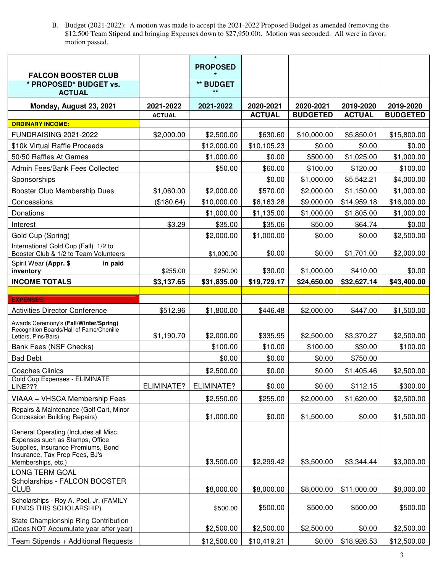B. Budget (2021-2022): A motion was made to accept the 2021-2022 Proposed Budget as amended (removing the \$12,500 Team Stipend and bringing Expenses down to \$27,950.00). Motion was seconded. All were in favor; motion passed.

|                                                                                                                                                                        |               | $\pmb{\star}$             |               |                 |               |                 |
|------------------------------------------------------------------------------------------------------------------------------------------------------------------------|---------------|---------------------------|---------------|-----------------|---------------|-----------------|
| <b>FALCON BOOSTER CLUB</b>                                                                                                                                             |               | <b>PROPOSED</b>           |               |                 |               |                 |
| * PROPOSED* BUDGET vs.<br><b>ACTUAL</b>                                                                                                                                |               | <b>** BUDGET</b><br>$***$ |               |                 |               |                 |
| Monday, August 23, 2021                                                                                                                                                | 2021-2022     | 2021-2022                 | 2020-2021     | 2020-2021       | 2019-2020     | 2019-2020       |
|                                                                                                                                                                        | <b>ACTUAL</b> |                           | <b>ACTUAL</b> | <b>BUDGETED</b> | <b>ACTUAL</b> | <b>BUDGETED</b> |
| <b>ORDINARY INCOME:</b>                                                                                                                                                |               |                           |               |                 |               |                 |
| <b>FUNDRAISING 2021-2022</b>                                                                                                                                           | \$2,000.00    | \$2,500.00                | \$630.60      | \$10,000.00     | \$5,850.01    | \$15,800.00     |
| \$10k Virtual Raffle Proceeds                                                                                                                                          |               | \$12,000.00               | \$10,105.23   | \$0.00          | \$0.00        | \$0.00          |
| 50/50 Raffles At Games                                                                                                                                                 |               | \$1,000.00                | \$0.00        | \$500.00        | \$1,025.00    | \$1,000.00      |
| Admin Fees/Bank Fees Collected                                                                                                                                         |               | \$50.00                   | \$60.00       | \$100.00        | \$120.00      | \$100.00        |
| Sponsorships                                                                                                                                                           |               |                           | \$0.00        | \$1,000.00      | \$5,542.21    | \$4,000.00      |
| Booster Club Membership Dues                                                                                                                                           | \$1,060.00    | \$2,000.00                | \$570.00      | \$2,000.00      | \$1,150.00    | \$1,000.00      |
| Concessions                                                                                                                                                            | (\$180.64)    | \$10,000.00               | \$6,163.28    | \$9,000.00      | \$14,959.18   | \$16,000.00     |
| Donations                                                                                                                                                              |               | \$1,000.00                | \$1,135.00    | \$1,000.00      | \$1,805.00    | \$1,000.00      |
| Interest                                                                                                                                                               | \$3.29        | \$35.00                   | \$35.06       | \$50.00         | \$64.74       | \$0.00          |
| Gold Cup (Spring)                                                                                                                                                      |               | \$2,000.00                | \$1,000.00    | \$0.00          | \$0.00        | \$2,500.00      |
| International Gold Cup (Fall) 1/2 to<br>Booster Club & 1/2 to Team Volunteers                                                                                          |               | \$1,000.00                | \$0.00        | \$0.00          | \$1,701.00    | \$2,000.00      |
| Spirit Wear (Appr. \$<br>in paid<br>inventory                                                                                                                          | \$255.00      | \$250.00                  | \$30.00       | \$1,000.00      | \$410.00      | \$0.00          |
| <b>INCOME TOTALS</b>                                                                                                                                                   | \$3,137.65    | \$31,835.00               | \$19,729.17   | \$24,650.00     | \$32,627.14   | \$43,400.00     |
|                                                                                                                                                                        |               |                           |               |                 |               |                 |
| <b>EXPENSES:</b>                                                                                                                                                       |               |                           |               |                 |               |                 |
| <b>Activities Director Conference</b>                                                                                                                                  | \$512.96      | \$1,800.00                | \$446.48      | \$2,000.00      | \$447.00      | \$1,500.00      |
| Awards Ceremony's (Fall/Winter/Spring)<br>Recognition Boards/Hall of Fame/Chenille                                                                                     | \$1,190.70    | \$2,000.00                | \$335.95      | \$2,500.00      | \$3,370.27    | \$2,500.00      |
| Letters, Pins/Bars)                                                                                                                                                    |               |                           |               |                 |               |                 |
| Bank Fees (NSF Checks)                                                                                                                                                 |               | \$100.00                  | \$10.00       | \$100.00        | \$30.00       | \$100.00        |
| <b>Bad Debt</b>                                                                                                                                                        |               | \$0.00                    | \$0.00        | \$0.00          | \$750.00      |                 |
| <b>Coaches Clinics</b><br>Gold Cup Expenses - ELIMINATE                                                                                                                |               | \$2,500.00                | \$0.00        | \$0.00          | \$1,405.46    | \$2,500.00      |
| <b>LINE???</b>                                                                                                                                                         | ELIMINATE?    | ELIMINATE?                | \$0.00        | \$0.00          | \$112.15      | \$300.00        |
| VIAAA + VHSCA Membership Fees                                                                                                                                          |               | \$2,550.00                | \$255.00      | \$2,000.00      | \$1,620.00    | \$2,500.00      |
| Repairs & Maintenance (Golf Cart, Minor<br><b>Concession Building Repairs)</b>                                                                                         |               | \$1,000.00                | \$0.00        | \$1,500.00      | \$0.00        | \$1,500.00      |
| General Operating (Includes all Misc.<br>Expenses such as Stamps, Office<br>Supplies, Insurance Premiums, Bond<br>Insurance, Tax Prep Fees, BJ's<br>Memberships, etc.) |               | \$3,500.00                | \$2,299.42    | \$3,500.00      | \$3,344.44    | \$3,000.00      |
| <b>LONG TERM GOAL</b>                                                                                                                                                  |               |                           |               |                 |               |                 |
| Scholarships - FALCON BOOSTER<br><b>CLUB</b>                                                                                                                           |               | \$8,000.00                | \$8,000.00    | \$8,000.00      | \$11,000.00   | \$8,000.00      |
| Scholarships - Roy A. Pool, Jr. (FAMILY<br>FUNDS THIS SCHOLARSHIP)                                                                                                     |               | \$500.00                  | \$500.00      | \$500.00        | \$500.00      | \$500.00        |
| State Championship Ring Contribution<br>(Does NOT Accumulate year after year)                                                                                          |               | \$2,500.00                | \$2,500.00    | \$2,500.00      | \$0.00        | \$2,500.00      |
| Team Stipends + Additional Requests                                                                                                                                    |               | \$12,500.00               | \$10,419.21   | \$0.00          | \$18,926.53   | \$12,500.00     |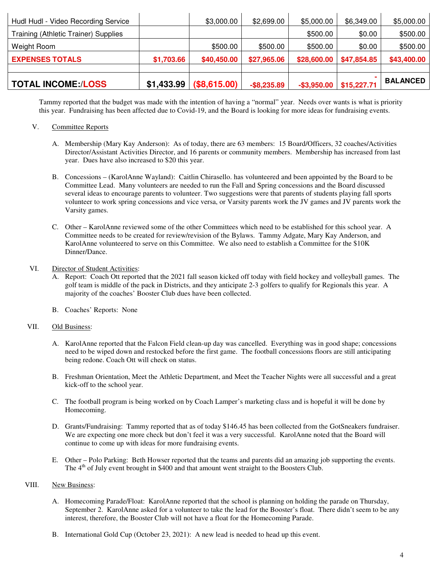| <b>TOTAL INCOME:/LOSS</b>            | \$1,433.99 | (\$8,615.00) | $-$ \$8,235.89 | $-$ \$3,950.00 | \$15,227.71 | <b>BALANCED</b> |
|--------------------------------------|------------|--------------|----------------|----------------|-------------|-----------------|
| <b>EXPENSES TOTALS</b>               | \$1,703.66 | \$40,450.00  | \$27,965.06    | \$28,600.00    | \$47,854.85 | \$43,400.00     |
| Weight Room                          |            | \$500.00     | \$500.00       | \$500.00       | \$0.00      | \$500.00        |
| Training (Athletic Trainer) Supplies |            |              |                | \$500.00       | \$0.00      | \$500.00        |
| Hudl Hudl - Video Recording Service  |            | \$3,000.00   | \$2,699.00     | \$5,000.00     | \$6,349.00  | \$5,000.00      |

Tammy reported that the budget was made with the intention of having a "normal" year. Needs over wants is what is priority this year. Fundraising has been affected due to Covid-19, and the Board is looking for more ideas for fundraising events.

#### V. Committee Reports

- A. Membership (Mary Kay Anderson): As of today, there are 63 members: 15 Board/Officers, 32 coaches/Activities Director/Assistant Activities Director, and 16 parents or community members. Membership has increased from last year. Dues have also increased to \$20 this year.
- B. Concessions (KarolAnne Wayland): Caitlin Chirasello. has volunteered and been appointed by the Board to be Committee Lead. Many volunteers are needed to run the Fall and Spring concessions and the Board discussed several ideas to encourage parents to volunteer. Two suggestions were that parents of students playing fall sports volunteer to work spring concessions and vice versa, or Varsity parents work the JV games and JV parents work the Varsity games.
- C. Other KarolAnne reviewed some of the other Committees which need to be established for this school year. A Committee needs to be created for review/revision of the Bylaws. Tammy Adgate, Mary Kay Anderson, and KarolAnne volunteered to serve on this Committee. We also need to establish a Committee for the \$10K Dinner/Dance.

#### VI. Director of Student Activities:

- A. Report: Coach Ott reported that the 2021 fall season kicked off today with field hockey and volleyball games. The golf team is middle of the pack in Districts, and they anticipate 2-3 golfers to qualify for Regionals this year. A majority of the coaches' Booster Club dues have been collected.
- B. Coaches' Reports: None

#### VII. Old Business:

- A. KarolAnne reported that the Falcon Field clean-up day was cancelled. Everything was in good shape; concessions need to be wiped down and restocked before the first game. The football concessions floors are still anticipating being redone. Coach Ott will check on status.
- B. Freshman Orientation, Meet the Athletic Department, and Meet the Teacher Nights were all successful and a great kick-off to the school year.
- C. The football program is being worked on by Coach Lamper's marketing class and is hopeful it will be done by Homecoming.
- D. Grants/Fundraising: Tammy reported that as of today \$146.45 has been collected from the GotSneakers fundraiser. We are expecting one more check but don't feel it was a very successful. KarolAnne noted that the Board will continue to come up with ideas for more fundraising events.
- E. Other Polo Parking: Beth Howser reported that the teams and parents did an amazing job supporting the events. The  $4<sup>th</sup>$  of July event brought in \$400 and that amount went straight to the Boosters Club.

#### VIII. New Business:

- A. Homecoming Parade/Float: KarolAnne reported that the school is planning on holding the parade on Thursday, September 2. KarolAnne asked for a volunteer to take the lead for the Booster's float. There didn't seem to be any interest, therefore, the Booster Club will not have a float for the Homecoming Parade.
- B. International Gold Cup (October 23, 2021): A new lead is needed to head up this event.